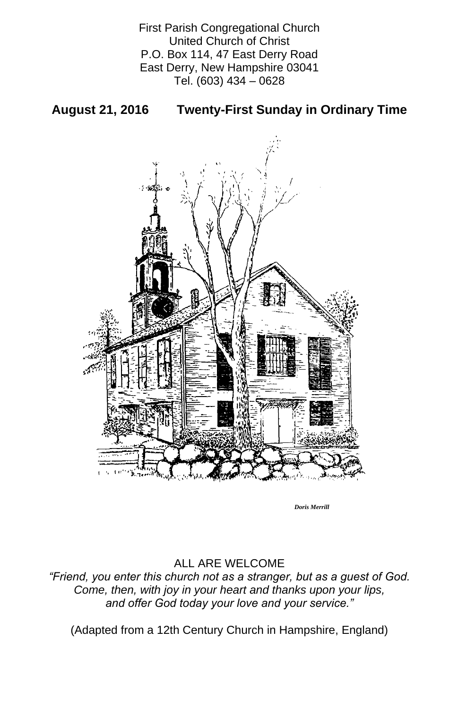First Parish Congregational Church United Church of Christ P.O. Box 114, 47 East Derry Road East Derry, New Hampshire 03041 Tel. (603) 434 – 0628

## **August 21, 2016 Twenty-First Sunday in Ordinary Time**



### ALL ARE WELCOME

### *"Friend, you enter this church not as a stranger, but as a guest of God. Come, then, with joy in your heart and thanks upon your lips, and offer God today your love and your service."*

(Adapted from a 12th Century Church in Hampshire, England)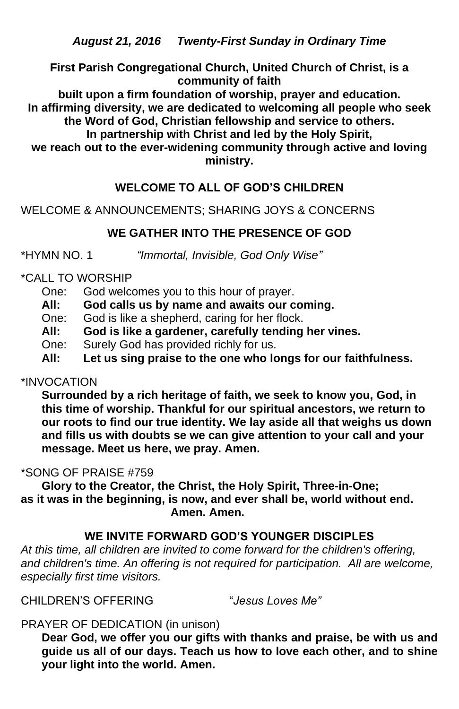*August 21, 2016 Twenty-First Sunday in Ordinary Time*

**First Parish Congregational Church, United Church of Christ, is a community of faith** 

**built upon a firm foundation of worship, prayer and education. In affirming diversity, we are dedicated to welcoming all people who seek the Word of God, Christian fellowship and service to others. In partnership with Christ and led by the Holy Spirit,**

**we reach out to the ever-widening community through active and loving ministry.**

## **WELCOME TO ALL OF GOD'S CHILDREN**

WELCOME & ANNOUNCEMENTS; SHARING JOYS & CONCERNS

# **WE GATHER INTO THE PRESENCE OF GOD**

\*HYMN NO. 1 *"Immortal, Invisible, God Only Wise"*

## \*CALL TO WORSHIP

- One: God welcomes you to this hour of prayer.
- **All: God calls us by name and awaits our coming.**
- One: God is like a shepherd, caring for her flock.
- **All: God is like a gardener, carefully tending her vines.**
- One: Surely God has provided richly for us.
- **All: Let us sing praise to the one who longs for our faithfulness.**

## \*INVOCATION

**Surrounded by a rich heritage of faith, we seek to know you, God, in this time of worship. Thankful for our spiritual ancestors, we return to our roots to find our true identity. We lay aside all that weighs us down and fills us with doubts se we can give attention to your call and your message. Meet us here, we pray. Amen.**

# \*SONG OF PRAISE #759

**Glory to the Creator, the Christ, the Holy Spirit, Three-in-One; as it was in the beginning, is now, and ever shall be, world without end. Amen. Amen.**

## **WE INVITE FORWARD GOD'S YOUNGER DISCIPLES**

*At this time, all children are invited to come forward for the children's offering,*  and children's time. An offering is not required for participation. All are welcome, *especially first time visitors.*

CHILDREN'S OFFERING "*Jesus Loves Me"*

PRAYER OF DEDICATION (in unison)

**Dear God, we offer you our gifts with thanks and praise, be with us and guide us all of our days. Teach us how to love each other, and to shine your light into the world. Amen.**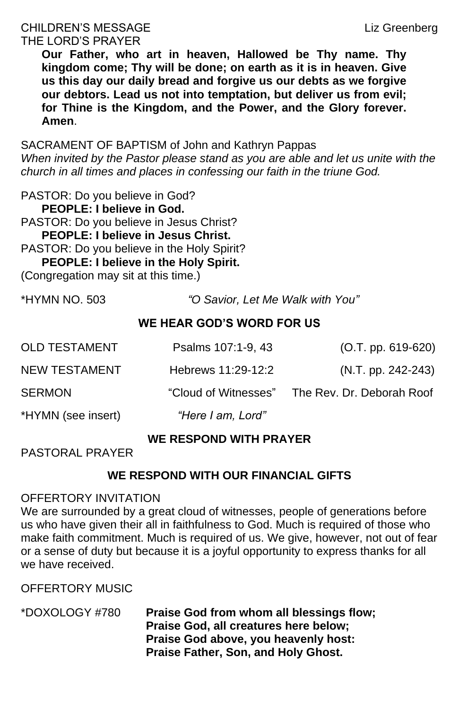# CHILDREN'S MESSAGE Liz Greenberg THE LORD'S PRAYER

**Our Father, who art in heaven, Hallowed be Thy name. Thy kingdom come; Thy will be done; on earth as it is in heaven. Give us this day our daily bread and forgive us our debts as we forgive our debtors. Lead us not into temptation, but deliver us from evil; for Thine is the Kingdom, and the Power, and the Glory forever. Amen**.

SACRAMENT OF BAPTISM of John and Kathryn Pappas *When invited by the Pastor please stand as you are able and let us unite with the church in all times and places in confessing our faith in the triune God.*

PASTOR: Do you believe in God? **PEOPLE: I believe in God.** PASTOR: Do you believe in Jesus Christ? **PEOPLE: I believe in Jesus Christ.**  PASTOR: Do you believe in the Holy Spirit? **PEOPLE: I believe in the Holy Spirit.**

(Congregation may sit at this time.)

\*HYMN NO. 503 *"O Savior, Let Me Walk with You"*

# **WE HEAR GOD'S WORD FOR US**

| <b>OLD TESTAMENT</b> | Psalms 107:1-9, 43   | $(O.T. pp. 619-620)$      |
|----------------------|----------------------|---------------------------|
| <b>NEW TESTAMENT</b> | Hebrews 11:29-12:2   | $(N.T. pp. 242-243)$      |
| <b>SERMON</b>        | "Cloud of Witnesses" | The Rev. Dr. Deborah Roof |
| *HYMN (see insert)   | "Here I am, Lord"    |                           |

# **WE RESPOND WITH PRAYER**

PASTORAL PRAYER

## **WE RESPOND WITH OUR FINANCIAL GIFTS**

### OFFERTORY INVITATION

We are surrounded by a great cloud of witnesses, people of generations before us who have given their all in faithfulness to God. Much is required of those who make faith commitment. Much is required of us. We give, however, not out of fear or a sense of duty but because it is a joyful opportunity to express thanks for all we have received.

OFFERTORY MUSIC

\*DOXOLOGY #780 **Praise God from whom all blessings flow; Praise God, all creatures here below; Praise God above, you heavenly host: Praise Father, Son, and Holy Ghost.**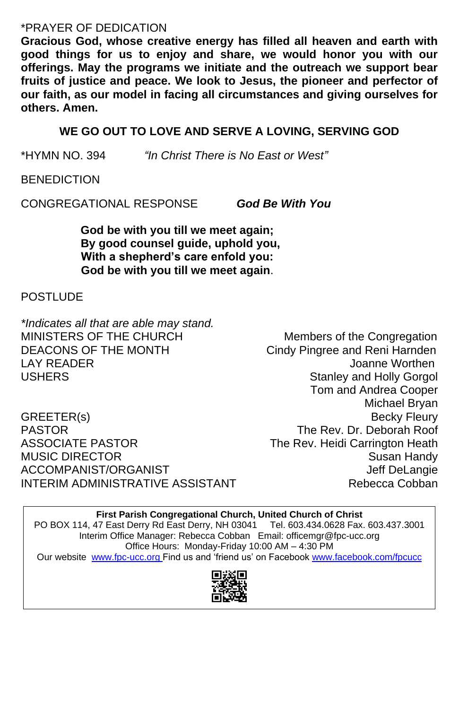## \*PRAYER OF DEDICATION

**Gracious God, whose creative energy has filled all heaven and earth with good things for us to enjoy and share, we would honor you with our offerings. May the programs we initiate and the outreach we support bear fruits of justice and peace. We look to Jesus, the pioneer and perfector of our faith, as our model in facing all circumstances and giving ourselves for others. Amen.**

*\*Indicates all that are able may stand.* MINISTERS OF THE CHURCH Members of the Congregation DEACONS OF THE MONTH Cindy Pingree and Reni Harnden LAY READER Joanne Worthen USHERS **Stanley and Holly Gorgol** 

GREETER(s) Becky Fleury PASTOR The Rev. Dr. Deborah Roof ASSOCIATE PASTOR The Rev. Heidi Carrington Heath MUSIC DIRECTOR Susan Handy ACCOMPANIST/ORGANIST **SECOMPANIST** ACCOMPANIST/ORGANIST INTERIM ADMINISTRATIVE ASSISTANT THE Rebecca Cobban

## **WE GO OUT TO LOVE AND SERVE A LOVING, SERVING GOD**

\*HYMN NO. 394 *"In Christ There is No East or West"*

**BENEDICTION** 

CONGREGATIONAL RESPONSE *God Be With You*

**God be with you till we meet again; By good counsel guide, uphold you, With a shepherd's care enfold you: God be with you till we meet again**.

### **POSTLUDE**

Tom and Andrea Cooper Michael Bryan

**First Parish Congregational Church, United Church of Christ**

PO BOX 114, 47 East Derry Rd East Derry, NH 03041 Tel. 603.434.0628 Fax. 603.437.3001 Interim Office Manager: Rebecca Cobban Email: officemgr@fpc-ucc.org Office Hours: Monday-Friday 10:00 AM – 4:30 PM

Our website [www.fpc-ucc.org](http://www.fpc-ucc.org/) Find us and 'friend us' on Facebook [www.facebook.com/fpcucc](http://www.facebook.com/fpcucc)